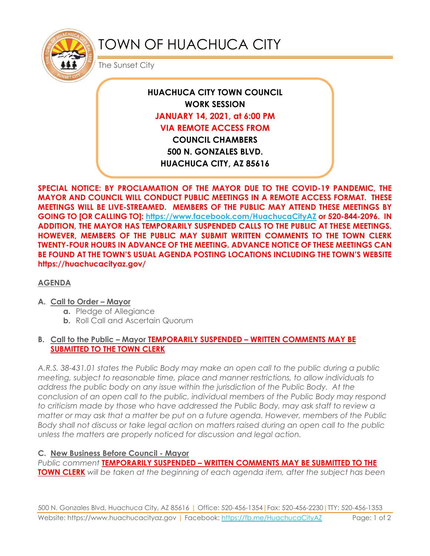

# TOWN OF HUACHUCA CITY

The Sunset City

**HUACHUCA CITY TOWN COUNCIL WORK SESSION JANUARY 14, 2021, at 6:00 PM VIA REMOTE ACCESS FROM COUNCIL CHAMBERS 500 N. GONZALES BLVD. HUACHUCA CITY, AZ 85616**

**SPECIAL NOTICE: BY PROCLAMATION OF THE MAYOR DUE TO THE COVID-19 PANDEMIC, THE MAYOR AND COUNCIL WILL CONDUCT PUBLIC MEETINGS IN A REMOTE ACCESS FORMAT. THESE MEETINGS WILL BE LIVE-STREAMED. MEMBERS OF THE PUBLIC MAY ATTEND THESE MEETINGS BY GOING TO [OR CALLING TO]: <https://www.facebook.com/HuachucaCityAZ> or 520-844-2096. IN ADDITION, THE MAYOR HAS TEMPORARILY SUSPENDED CALLS TO THE PUBLIC AT THESE MEETINGS. HOWEVER, MEMBERS OF THE PUBLIC MAY SUBMIT WRITTEN COMMENTS TO THE TOWN CLERK TWENTY-FOUR HOURS IN ADVANCE OF THE MEETING. ADVANCE NOTICE OF THESE MEETINGS CAN BE FOUND AT THE TOWN'S USUAL AGENDA POSTING LOCATIONS INCLUDING THE TOWN'S WEBSITE https://huachucacityaz.gov/**

# **AGENDA**

#### **A. Call to Order – Mayor**

- **a.** Pledge of Allegiance
- **b.** Roll Call and Ascertain Quorum

### **B. Call to the Public – Mayor TEMPORARILY SUSPENDED – WRITTEN COMMENTS MAY BE SUBMITTED TO THE TOWN CLERK**

*A.R.S. 38-431.01 states the Public Body may make an open call to the public during a public meeting, subject to reasonable time, place and manner restrictions, to allow individuals to address the public body on any issue within the jurisdiction of the Public Body. At the conclusion of an open call to the public, individual members of the Public Body may respond to criticism made by those who have addressed the Public Body, may ask staff to review a matter or may ask that a matter be put on a future agenda. However, members of the Public Body shall not discuss or take legal action on matters raised during an open call to the public unless the matters are properly noticed for discussion and legal action.*

# **C. New Business Before Council - Mayor**

*Public comment* **TEMPORARILY SUSPENDED – WRITTEN COMMENTS MAY BE SUBMITTED TO THE TOWN CLERK** *will be taken at the beginning of each agenda item, after the subject has been*